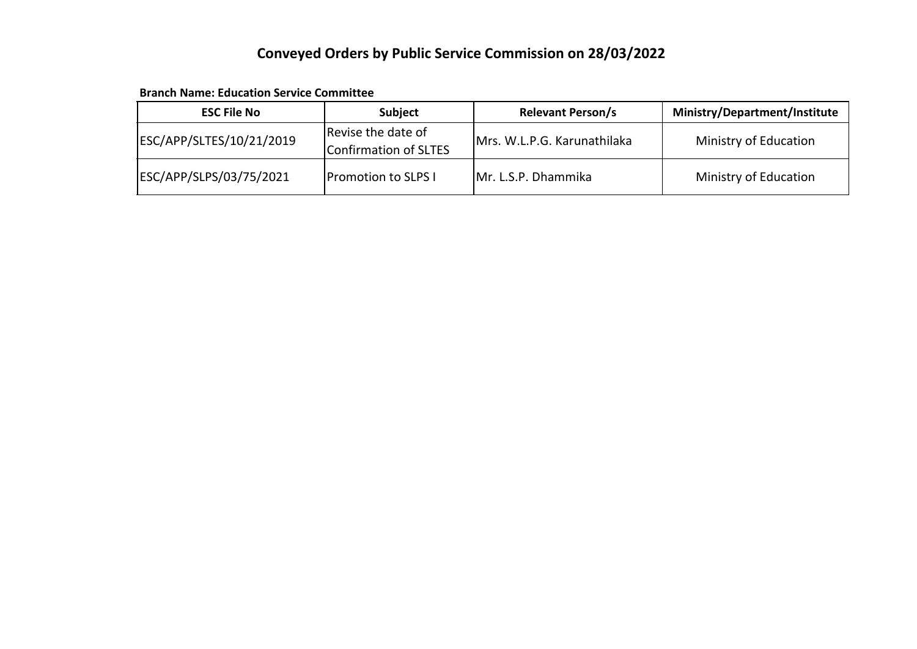### **Conveyed Orders by Public Service Commission on 28/03/2022**

**Branch Name: Education Service Committee**

| <b>ESC File No</b>       | <b>Subject</b>                              | <b>Relevant Person/s</b>    | <b>Ministry/Department/Institute</b> |
|--------------------------|---------------------------------------------|-----------------------------|--------------------------------------|
| ESC/APP/SLTES/10/21/2019 | Revise the date of<br>Confirmation of SLTES | Mrs. W.L.P.G. Karunathilaka | Ministry of Education                |
| ESC/APP/SLPS/03/75/2021  | <b>Promotion to SLPS I</b>                  | Mr. L.S.P. Dhammika         | Ministry of Education                |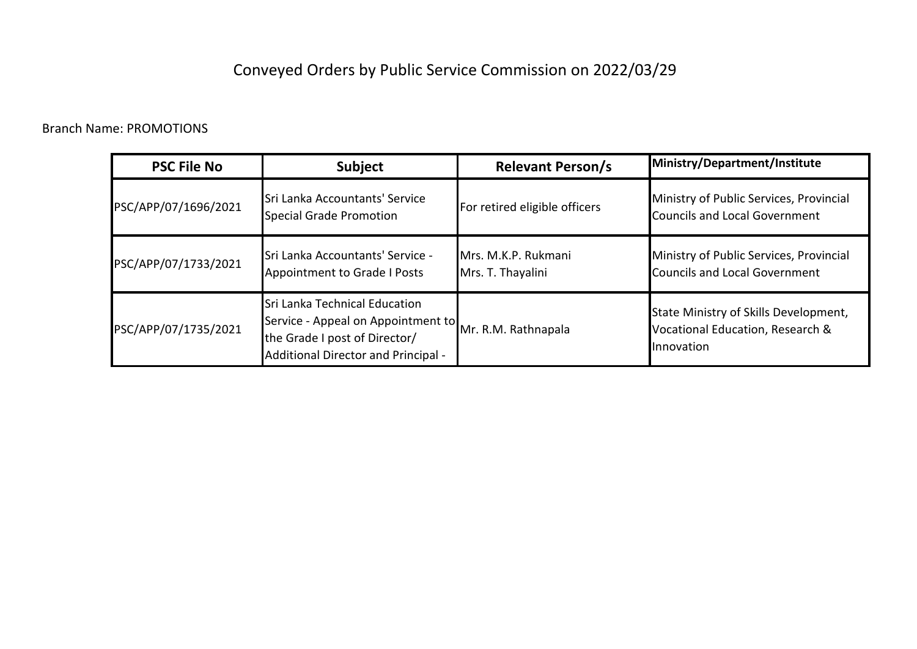## Conveyed Orders by Public Service Commission on 2022/03/29

#### Branch Name: PROMOTIONS

| <b>PSC File No</b>   | <b>Subject</b>                                                                                                                                                  | <b>Relevant Person/s</b>                 | Ministry/Department/Institute                                                           |
|----------------------|-----------------------------------------------------------------------------------------------------------------------------------------------------------------|------------------------------------------|-----------------------------------------------------------------------------------------|
| PSC/APP/07/1696/2021 | <b>Sri Lanka Accountants' Service</b><br>Special Grade Promotion                                                                                                | For retired eligible officers            | Ministry of Public Services, Provincial<br>Councils and Local Government                |
| PSC/APP/07/1733/2021 | ISri Lanka Accountants' Service -<br>Appointment to Grade I Posts                                                                                               | Mrs. M.K.P. Rukmani<br>Mrs. T. Thayalini | Ministry of Public Services, Provincial<br><b>Councils and Local Government</b>         |
| PSC/APP/07/1735/2021 | Sri Lanka Technical Education<br>Service - Appeal on Appointment to Mr. R.M. Rathnapala<br>the Grade I post of Director/<br>Additional Director and Principal - |                                          | State Ministry of Skills Development,<br>Vocational Education, Research &<br>Innovation |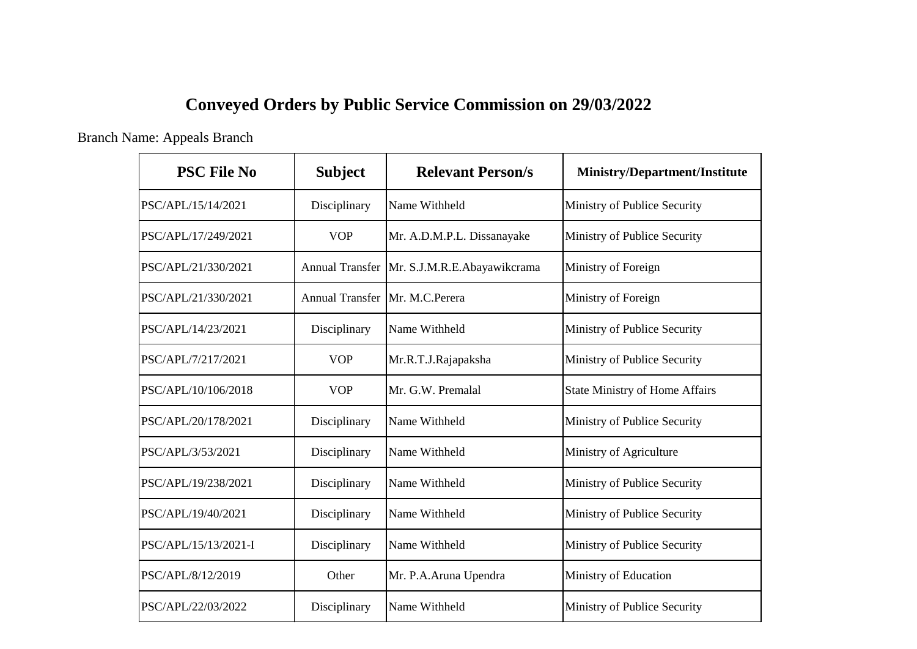# **Conveyed Orders by Public Service Commission on 29/03/2022**

#### Branch Name: Appeals Branch

| <b>PSC File No</b>   | <b>Subject</b>         | <b>Relevant Person/s</b>    | <b>Ministry/Department/Institute</b>  |
|----------------------|------------------------|-----------------------------|---------------------------------------|
| PSC/APL/15/14/2021   | Disciplinary           | Name Withheld               | Ministry of Publice Security          |
| PSC/APL/17/249/2021  | <b>VOP</b>             | Mr. A.D.M.P.L. Dissanayake  | Ministry of Publice Security          |
| PSC/APL/21/330/2021  | <b>Annual Transfer</b> | Mr. S.J.M.R.E.Abayawikcrama | Ministry of Foreign                   |
| PSC/APL/21/330/2021  | <b>Annual Transfer</b> | Mr. M.C.Perera              | Ministry of Foreign                   |
| PSC/APL/14/23/2021   | Disciplinary           | Name Withheld               | Ministry of Publice Security          |
| PSC/APL/7/217/2021   | <b>VOP</b>             | Mr.R.T.J.Rajapaksha         | Ministry of Publice Security          |
| PSC/APL/10/106/2018  | <b>VOP</b>             | Mr. G.W. Premalal           | <b>State Ministry of Home Affairs</b> |
| PSC/APL/20/178/2021  | Disciplinary           | Name Withheld               | Ministry of Publice Security          |
| PSC/APL/3/53/2021    | Disciplinary           | Name Withheld               | Ministry of Agriculture               |
| PSC/APL/19/238/2021  | Disciplinary           | Name Withheld               | Ministry of Publice Security          |
| PSC/APL/19/40/2021   | Disciplinary           | Name Withheld               | Ministry of Publice Security          |
| PSC/APL/15/13/2021-I | Disciplinary           | Name Withheld               | Ministry of Publice Security          |
| PSC/APL/8/12/2019    | Other                  | Mr. P.A.Aruna Upendra       | Ministry of Education                 |
| PSC/APL/22/03/2022   | Disciplinary           | Name Withheld               | Ministry of Publice Security          |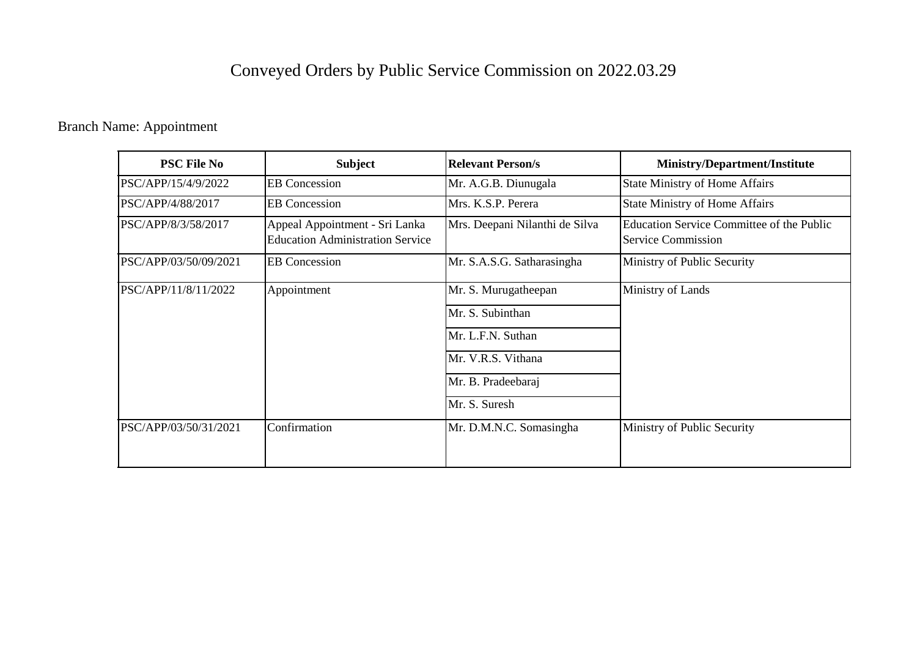# Conveyed Orders by Public Service Commission on 2022.03.29

### Branch Name: Appointment

| <b>PSC File No</b>    | <b>Subject</b>                                                            | <b>Relevant Person/s</b>                                      | <b>Ministry/Department/Institute</b>                                   |
|-----------------------|---------------------------------------------------------------------------|---------------------------------------------------------------|------------------------------------------------------------------------|
| PSC/APP/15/4/9/2022   | <b>EB</b> Concession                                                      | Mr. A.G.B. Diunugala                                          | <b>State Ministry of Home Affairs</b>                                  |
| PSC/APP/4/88/2017     | <b>EB</b> Concession                                                      | Mrs. K.S.P. Perera                                            | <b>State Ministry of Home Affairs</b>                                  |
| PSC/APP/8/3/58/2017   | Appeal Appointment - Sri Lanka<br><b>Education Administration Service</b> | Mrs. Deepani Nilanthi de Silva                                | Education Service Committee of the Public<br><b>Service Commission</b> |
| PSC/APP/03/50/09/2021 | <b>EB</b> Concession                                                      | Mr. S.A.S.G. Satharasingha                                    | Ministry of Public Security                                            |
| PSC/APP/11/8/11/2022  | Appointment                                                               | Mr. S. Murugatheepan<br>Mr. S. Subinthan<br>Mr. L.F.N. Suthan | Ministry of Lands                                                      |
|                       |                                                                           | Mr. V.R.S. Vithana<br>Mr. B. Pradeebaraj<br>Mr. S. Suresh     |                                                                        |
| PSC/APP/03/50/31/2021 | Confirmation                                                              | Mr. D.M.N.C. Somasingha                                       | Ministry of Public Security                                            |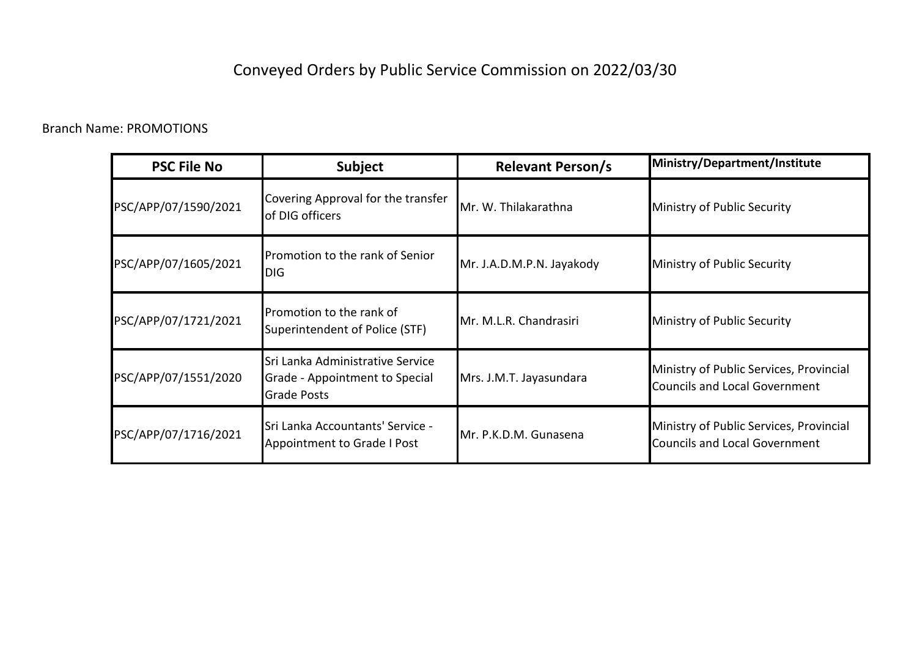# Conveyed Orders by Public Service Commission on 2022/03/30

#### Branch Name: PROMOTIONS

| <b>PSC File No</b>   | <b>Subject</b>                                                                           | <b>Relevant Person/s</b>  | Ministry/Department/Institute                                                   |
|----------------------|------------------------------------------------------------------------------------------|---------------------------|---------------------------------------------------------------------------------|
| PSC/APP/07/1590/2021 | Covering Approval for the transfer<br>of DIG officers                                    | Mr. W. Thilakarathna      | Ministry of Public Security                                                     |
| PSC/APP/07/1605/2021 | Promotion to the rank of Senior<br><b>DIG</b>                                            | Mr. J.A.D.M.P.N. Jayakody | Ministry of Public Security                                                     |
| PSC/APP/07/1721/2021 | Promotion to the rank of<br>Superintendent of Police (STF)                               | Mr. M.L.R. Chandrasiri    | Ministry of Public Security                                                     |
| PSC/APP/07/1551/2020 | Sri Lanka Administrative Service<br>Grade - Appointment to Special<br><b>Grade Posts</b> | Mrs. J.M.T. Jayasundara   | Ministry of Public Services, Provincial<br><b>Councils and Local Government</b> |
| PSC/APP/07/1716/2021 | Sri Lanka Accountants' Service -<br>Appointment to Grade I Post                          | Mr. P.K.D.M. Gunasena     | Ministry of Public Services, Provincial<br><b>Councils and Local Government</b> |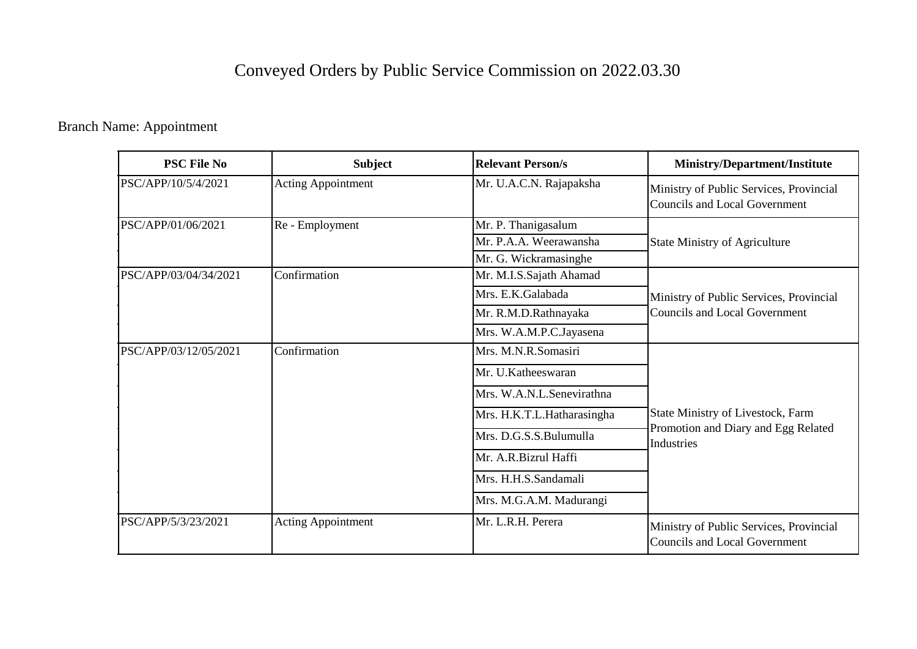# Conveyed Orders by Public Service Commission on 2022.03.30

### Branch Name: Appointment

| <b>PSC File No</b>    | <b>Subject</b>            | <b>Relevant Person/s</b>   | <b>Ministry/Department/Institute</b>                                                   |
|-----------------------|---------------------------|----------------------------|----------------------------------------------------------------------------------------|
| PSC/APP/10/5/4/2021   | <b>Acting Appointment</b> | Mr. U.A.C.N. Rajapaksha    | Ministry of Public Services, Provincial<br>Councils and Local Government               |
| PSC/APP/01/06/2021    | Re - Employment           | Mr. P. Thanigasalum        |                                                                                        |
|                       |                           | Mr. P.A.A. Weerawansha     | <b>State Ministry of Agriculture</b>                                                   |
|                       |                           | Mr. G. Wickramasinghe      |                                                                                        |
| PSC/APP/03/04/34/2021 | Confirmation              | Mr. M.I.S.Sajath Ahamad    |                                                                                        |
|                       |                           | Mrs. E.K.Galabada          | Ministry of Public Services, Provincial                                                |
|                       |                           | Mr. R.M.D.Rathnayaka       | <b>Councils and Local Government</b>                                                   |
|                       |                           | Mrs. W.A.M.P.C.Jayasena    |                                                                                        |
| PSC/APP/03/12/05/2021 | Confirmation              | Mrs. M.N.R.Somasiri        |                                                                                        |
|                       |                           | Mr. U.Katheeswaran         |                                                                                        |
|                       |                           | Mrs. W.A.N.L.Senevirathna  |                                                                                        |
|                       |                           | Mrs. H.K.T.L.Hatharasingha | State Ministry of Livestock, Farm<br>Promotion and Diary and Egg Related<br>Industries |
|                       |                           | Mrs. D.G.S.S.Bulumulla     |                                                                                        |
|                       |                           | Mr. A.R.Bizrul Haffi       |                                                                                        |
|                       |                           | Mrs. H.H.S.Sandamali       |                                                                                        |
|                       |                           | Mrs. M.G.A.M. Madurangi    |                                                                                        |
| PSC/APP/5/3/23/2021   | <b>Acting Appointment</b> | Mr. L.R.H. Perera          | Ministry of Public Services, Provincial<br><b>Councils and Local Government</b>        |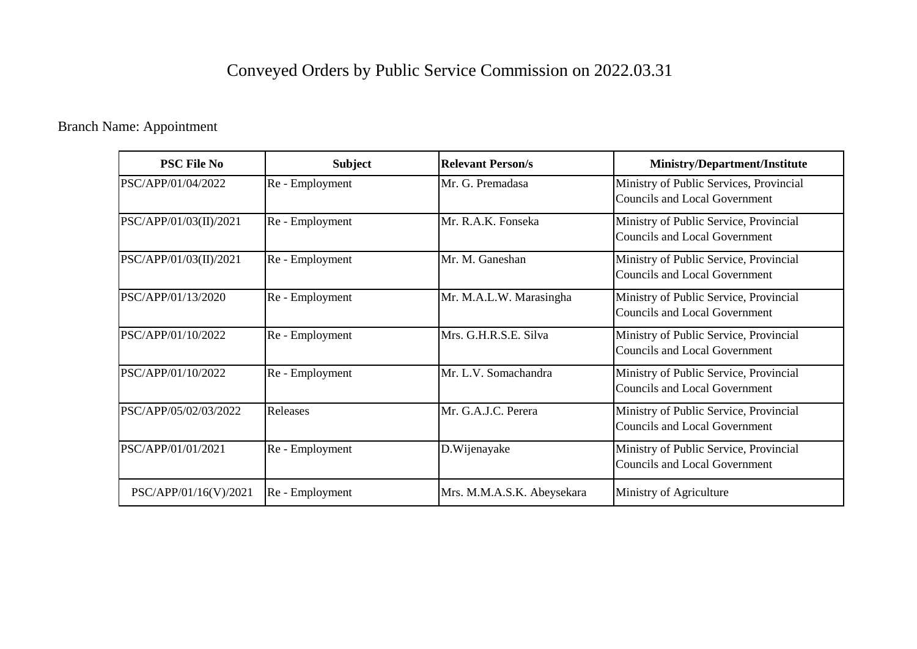# Conveyed Orders by Public Service Commission on 2022.03.31

### Branch Name: Appointment

| <b>PSC File No</b>     | <b>Subject</b>  | <b>Relevant Person/s</b>   | Ministry/Department/Institute                                                   |
|------------------------|-----------------|----------------------------|---------------------------------------------------------------------------------|
| PSC/APP/01/04/2022     | Re - Employment | Mr. G. Premadasa           | Ministry of Public Services, Provincial<br><b>Councils and Local Government</b> |
| PSC/APP/01/03(II)/2021 | Re - Employment | Mr. R.A.K. Fonseka         | Ministry of Public Service, Provincial<br><b>Councils and Local Government</b>  |
| PSC/APP/01/03(II)/2021 | Re - Employment | Mr. M. Ganeshan            | Ministry of Public Service, Provincial<br><b>Councils and Local Government</b>  |
| PSC/APP/01/13/2020     | Re - Employment | Mr. M.A.L.W. Marasingha    | Ministry of Public Service, Provincial<br><b>Councils and Local Government</b>  |
| PSC/APP/01/10/2022     | Re - Employment | Mrs. G.H.R.S.E. Silva      | Ministry of Public Service, Provincial<br><b>Councils and Local Government</b>  |
| PSC/APP/01/10/2022     | Re - Employment | Mr. L.V. Somachandra       | Ministry of Public Service, Provincial<br><b>Councils and Local Government</b>  |
| PSC/APP/05/02/03/2022  | Releases        | Mr. G.A.J.C. Perera        | Ministry of Public Service, Provincial<br><b>Councils and Local Government</b>  |
| PSC/APP/01/01/2021     | Re - Employment | D. Wijenayake              | Ministry of Public Service, Provincial<br><b>Councils and Local Government</b>  |
| PSC/APP/01/16(V)/2021  | Re - Employment | Mrs. M.M.A.S.K. Abeysekara | Ministry of Agriculture                                                         |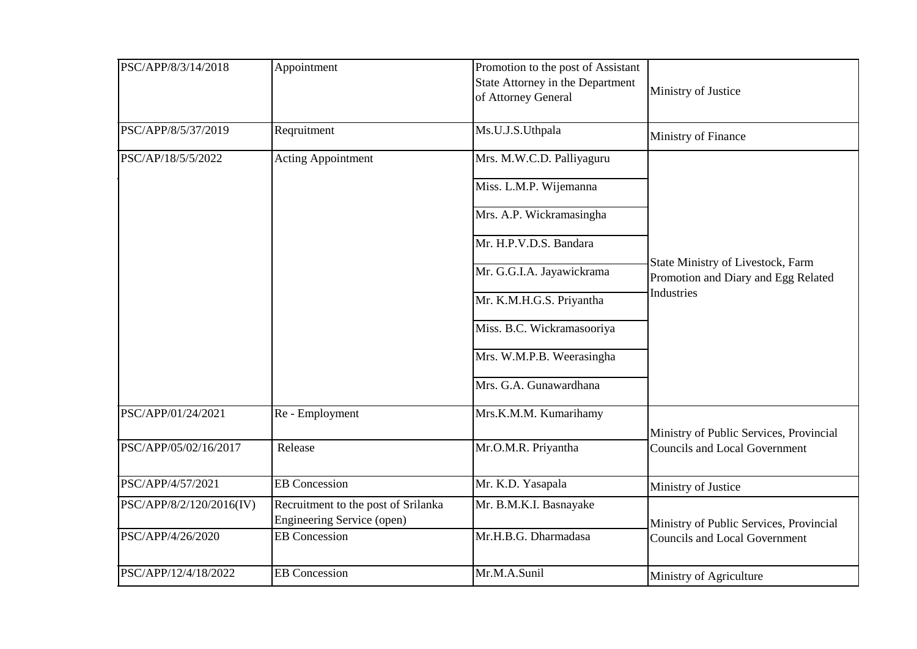| PSC/APP/8/3/14/2018      | Appointment                                                       | Promotion to the post of Assistant<br>State Attorney in the Department<br>of Attorney General | Ministry of Justice                                                             |
|--------------------------|-------------------------------------------------------------------|-----------------------------------------------------------------------------------------------|---------------------------------------------------------------------------------|
| PSC/APP/8/5/37/2019      | Reqruitment                                                       | Ms.U.J.S.Uthpala                                                                              | Ministry of Finance                                                             |
| PSC/AP/18/5/5/2022       | <b>Acting Appointment</b>                                         | Mrs. M.W.C.D. Palliyaguru                                                                     |                                                                                 |
|                          |                                                                   | Miss. L.M.P. Wijemanna                                                                        |                                                                                 |
|                          |                                                                   | Mrs. A.P. Wickramasingha                                                                      |                                                                                 |
|                          |                                                                   | Mr. H.P.V.D.S. Bandara                                                                        |                                                                                 |
|                          |                                                                   | Mr. G.G.I.A. Jayawickrama                                                                     | State Ministry of Livestock, Farm<br>Promotion and Diary and Egg Related        |
|                          |                                                                   | Mr. K.M.H.G.S. Priyantha                                                                      | <b>Industries</b>                                                               |
|                          |                                                                   | Miss. B.C. Wickramasooriya                                                                    |                                                                                 |
|                          |                                                                   | Mrs. W.M.P.B. Weerasingha                                                                     |                                                                                 |
|                          |                                                                   | Mrs. G.A. Gunawardhana                                                                        |                                                                                 |
| PSC/APP/01/24/2021       | Re - Employment                                                   | Mrs.K.M.M. Kumarihamy                                                                         |                                                                                 |
| PSC/APP/05/02/16/2017    | Release                                                           | Mr.O.M.R. Priyantha                                                                           | Ministry of Public Services, Provincial<br><b>Councils and Local Government</b> |
| PSC/APP/4/57/2021        | <b>EB</b> Concession                                              | Mr. K.D. Yasapala                                                                             | Ministry of Justice                                                             |
| PSC/APP/8/2/120/2016(IV) | Recruitment to the post of Srilanka<br>Engineering Service (open) | Mr. B.M.K.I. Basnayake                                                                        | Ministry of Public Services, Provincial<br><b>Councils and Local Government</b> |
| PSC/APP/4/26/2020        | <b>EB</b> Concession                                              | Mr.H.B.G. Dharmadasa                                                                          |                                                                                 |
| PSC/APP/12/4/18/2022     | <b>EB</b> Concession                                              | Mr.M.A.Sunil                                                                                  | Ministry of Agriculture                                                         |